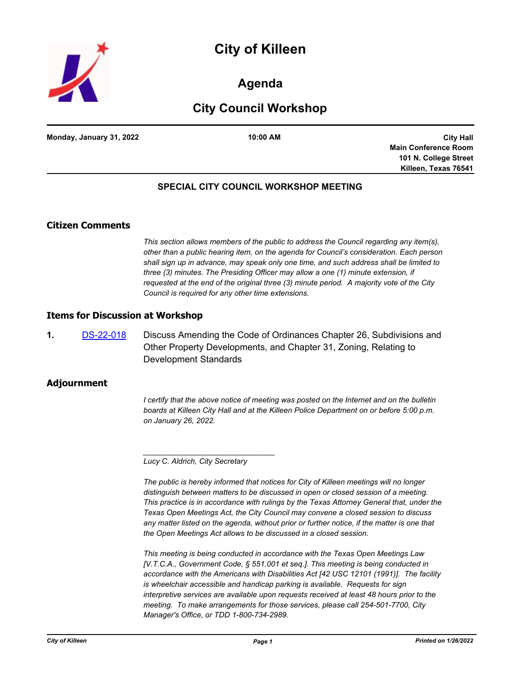



# **Agenda**

# **City Council Workshop**

**Monday, January 31, 2022 10:00 AM**

**City Hall Main Conference Room 101 N. College Street Killeen, Texas 76541**

## **SPECIAL CITY COUNCIL WORKSHOP MEETING**

## **Citizen Comments**

*This section allows members of the public to address the Council regarding any item(s), other than a public hearing item, on the agenda for Council's consideration. Each person shall sign up in advance, may speak only one time, and such address shall be limited to three (3) minutes. The Presiding Officer may allow a one (1) minute extension, if requested at the end of the original three (3) minute period. A majority vote of the City Council is required for any other time extensions.*

#### **Items for Discussion at Workshop**

**1.** [DS-22-018](http://killeen.legistar.com/gateway.aspx?m=l&id=/matter.aspx?key=5966) Discuss Amending the Code of Ordinances Chapter 26, Subdivisions and Other Property Developments, and Chapter 31, Zoning, Relating to Development Standards

### **Adjournment**

*I* certify that the above notice of meeting was posted on the Internet and on the bulletin *boards at Killeen City Hall and at the Killeen Police Department on or before 5:00 p.m. on January 26, 2022.*

*Lucy C. Aldrich, City Secretary* 

*\_\_\_\_\_\_\_\_\_\_\_\_\_\_\_\_\_\_\_\_\_\_\_\_\_\_\_\_\_\_\_*

*The public is hereby informed that notices for City of Killeen meetings will no longer distinguish between matters to be discussed in open or closed session of a meeting. This practice is in accordance with rulings by the Texas Attorney General that, under the Texas Open Meetings Act, the City Council may convene a closed session to discuss*  any matter listed on the agenda, without prior or further notice, if the matter is one that *the Open Meetings Act allows to be discussed in a closed session.*

*This meeting is being conducted in accordance with the Texas Open Meetings Law [V.T.C.A., Government Code, § 551.001 et seq.]. This meeting is being conducted in accordance with the Americans with Disabilities Act [42 USC 12101 (1991)]. The facility is wheelchair accessible and handicap parking is available. Requests for sign interpretive services are available upon requests received at least 48 hours prior to the meeting. To make arrangements for those services, please call 254-501-7700, City Manager's Office, or TDD 1-800-734-2989.*